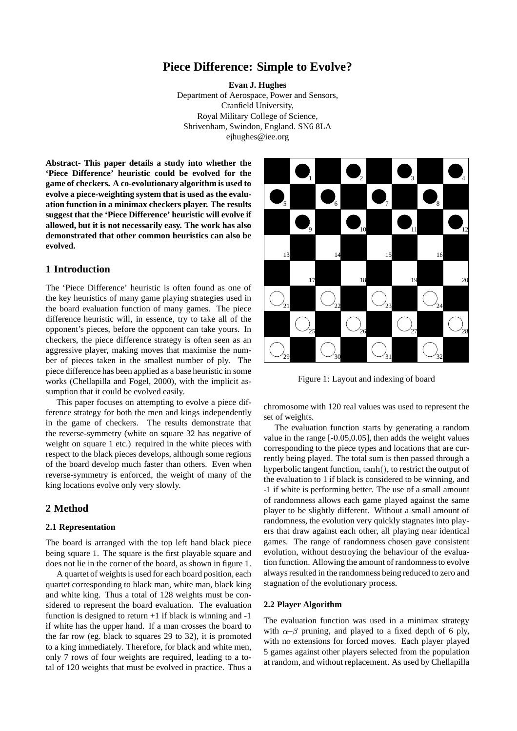# **Piece Difference: Simple to Evolve?**

**Evan J. Hughes** Department of Aerospace, Power and Sensors, Cranfield University, Royal Military College of Science, Shrivenham, Swindon, England. SN6 8LA ejhughes@iee.org

**Abstract- This paper details a study into whether the 'Piece Difference' heuristic could be evolved for the game of checkers. A co-evolutionary algorithm is used to evolve a piece-weighting system that is used as the evaluation function in a minimax checkers player. The results suggest that the 'Piece Difference' heuristic will evolve if allowed, but it is not necessarily easy. The work has also demonstrated that other common heuristics can also be evolved.**

### **1 Introduction**

The 'Piece Difference' heuristic is often found as one of the key heuristics of many game playing strategies used in the board evaluation function of many games. The piece difference heuristic will, in essence, try to take all of the opponent's pieces, before the opponent can take yours. In checkers, the piece difference strategy is often seen as an aggressive player, making moves that maximise the number of pieces taken in the smallest number of ply. The piece difference has been applied as a base heuristic in some works (Chellapilla and Fogel, 2000), with the implicit assumption that it could be evolved easily.

This paper focuses on attempting to evolve a piece difference strategy for both the men and kings independently in the game of checkers. The results demonstrate that the reverse-symmetry (white on square 32 has negative of weight on square 1 etc.) required in the white pieces with respect to the black pieces develops, although some regions of the board develop much faster than others. Even when reverse-symmetry is enforced, the weight of many of the king locations evolve only very slowly.

### **2 Method**

#### **2.1 Representation**

The board is arranged with the top left hand black piece being square 1. The square is the first playable square and does not lie in the corner of the board, as shown in figure 1.

A quartet of weights is used for each board position, each quartet corresponding to black man, white man, black king and white king. Thus a total of 128 weights must be considered to represent the board evaluation. The evaluation function is designed to return +1 if black is winning and -1 if white has the upper hand. If a man crosses the board to the far row (eg. black to squares 29 to 32), it is promoted to a king immediately. Therefore, for black and white men, only 7 rows of four weights are required, leading to a total of 120 weights that must be evolved in practice. Thus a



Figure 1: Layout and indexing of board

chromosome with 120 real values was used to represent the set of weights.

The evaluation function starts by generating a random value in the range [-0.05,0.05], then adds the weight values corresponding to the piece types and locations that are currently being played. The total sum is then passed through a hyperbolic tangent function, tanh(), to restrict the output of the evaluation to 1 if black is considered to be winning, and -1 if white is performing better. The use of a small amount of randomness allows each game played against the same player to be slightly different. Without a small amount of randomness, the evolution very quickly stagnates into players that draw against each other, all playing near identical games. The range of randomness chosen gave consistent evolution, without destroying the behaviour of the evaluation function. Allowing the amount of randomness to evolve always resulted in the randomness being reduced to zero and stagnation of the evolutionary process.

### **2.2 Player Algorithm**

The evaluation function was used in a minimax strategy with  $\alpha-\beta$  pruning, and played to a fixed depth of 6 ply, with no extensions for forced moves. Each player played 5 games against other players selected from the population at random, and without replacement. As used by Chellapilla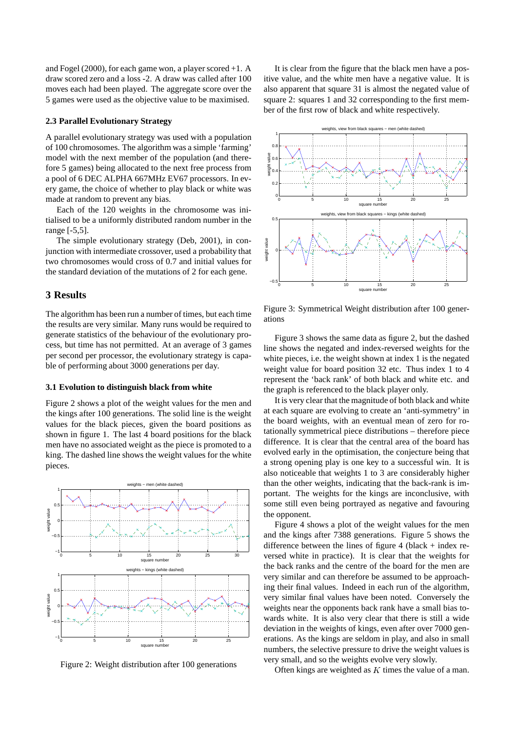and Fogel (2000), for each game won, a player scored +1. A draw scored zero and a loss -2. A draw was called after 100 moves each had been played. The aggregate score over the 5 games were used as the objective value to be maximised.

### **2.3 Parallel Evolutionary Strategy**

A parallel evolutionary strategy was used with a population of 100 chromosomes. The algorithm was a simple 'farming' model with the next member of the population (and therefore 5 games) being allocated to the next free process from a pool of 6 DEC ALPHA 667MHz EV67 processors. In every game, the choice of whether to play black or white was made at random to prevent any bias.

Each of the 120 weights in the chromosome was initialised to be a uniformly distributed random number in the range [-5,5].

The simple evolutionary strategy (Deb, 2001), in conjunction with intermediate crossover, used a probability that two chromosomes would cross of 0.7 and initial values for the standard deviation of the mutations of 2 for each gene.

### **3 Results**

The algorithm has been run a number of times, but each time the results are very similar. Many runs would be required to generate statistics of the behaviour of the evolutionary process, but time has not permitted. At an average of 3 games per second per processor, the evolutionary strategy is capable of performing about 3000 generations per day.

### **3.1 Evolution to distinguish black from white**

Figure 2 shows a plot of the weight values for the men and the kings after 100 generations. The solid line is the weight values for the black pieces, given the board positions as shown in figure 1. The last 4 board positions for the black men have no associated weight as the piece is promoted to a king. The dashed line shows the weight values for the white pieces.



Figure 2: Weight distribution after 100 generations

It is clear from the figure that the black men have a positive value, and the white men have a negative value. It is also apparent that square 31 is almost the negated value of square 2: squares 1 and 32 corresponding to the first member of the first row of black and white respectively.



Figure 3: Symmetrical Weight distribution after 100 generations

Figure 3 shows the same data as figure 2, but the dashed line shows the negated and index-reversed weights for the white pieces, i.e. the weight shown at index 1 is the negated weight value for board position 32 etc. Thus index 1 to 4 represent the 'back rank' of both black and white etc. and the graph is referenced to the black player only.

It is very clear that the magnitude of both black and white at each square are evolving to create an 'anti-symmetry' in the board weights, with an eventual mean of zero for rotationally symmetrical piece distributions – therefore piece difference. It is clear that the central area of the board has evolved early in the optimisation, the conjecture being that a strong opening play is one key to a successful win. It is also noticeable that weights 1 to 3 are considerably higher than the other weights, indicating that the back-rank is important. The weights for the kings are inconclusive, with some still even being portrayed as negative and favouring the opponent.

Figure 4 shows a plot of the weight values for the men and the kings after 7388 generations. Figure 5 shows the difference between the lines of figure  $4$  (black + index reversed white in practice). It is clear that the weights for the back ranks and the centre of the board for the men are very similar and can therefore be assumed to be approaching their final values. Indeed in each run of the algorithm, very similar final values have been noted. Conversely the weights near the opponents back rank have a small bias towards white. It is also very clear that there is still a wide deviation in the weights of kings, even after over 7000 generations. As the kings are seldom in play, and also in small numbers, the selective pressure to drive the weight values is very small, and so the weights evolve very slowly.

Often kings are weighted as  $K$  times the value of a man.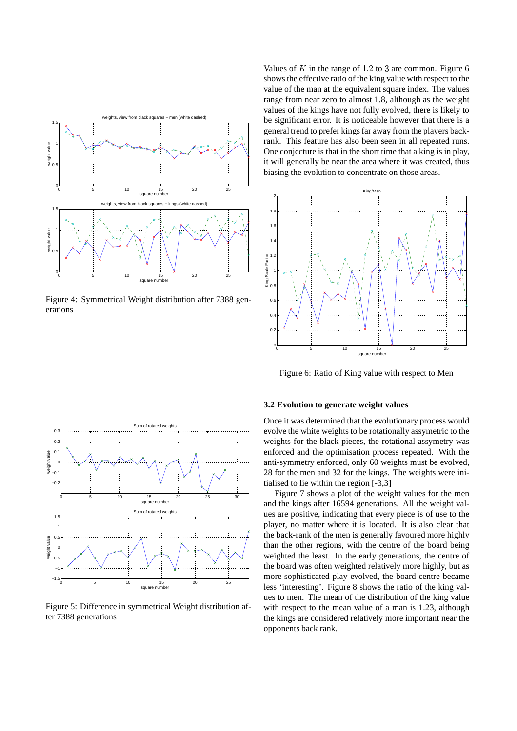

Figure 4: Symmetrical Weight distribution after 7388 generations

Values of  $K$  in the range of 1.2 to 3 are common. Figure 6 shows the effective ratio of the king value with respect to the value of the man at the equivalent square index. The values range from near zero to almost 1.8, although as the weight values of the kings have not fully evolved, there is likely to be significant error. It is noticeable however that there is a general trend to prefer kings far away from the players backrank. This feature has also been seen in all repeated runs. One conjecture is that in the short time that a king is in play, it will generally be near the area where it was created, thus biasing the evolution to concentrate on those areas.



Figure 6: Ratio of King value with respect to Men



Figure 5: Difference in symmetrical Weight distribution after 7388 generations

### **3.2 Evolution to generate weight values**

Once it was determined that the evolutionary process would evolve the white weights to be rotationally assymetric to the weights for the black pieces, the rotational assymetry was enforced and the optimisation process repeated. With the anti-symmetry enforced, only 60 weights must be evolved, 28 for the men and 32 for the kings. The weights were initialised to lie within the region [-3,3]

Figure 7 shows a plot of the weight values for the men and the kings after 16594 generations. All the weight values are positive, indicating that every piece is of use to the player, no matter where it is located. It is also clear that the back-rank of the men is generally favoured more highly than the other regions, with the centre of the board being weighted the least. In the early generations, the centre of the board was often weighted relatively more highly, but as more sophisticated play evolved, the board centre became less 'interesting'. Figure 8 shows the ratio of the king values to men. The mean of the distribution of the king value with respect to the mean value of a man is 1.23, although the kings are considered relatively more important near the opponents back rank.